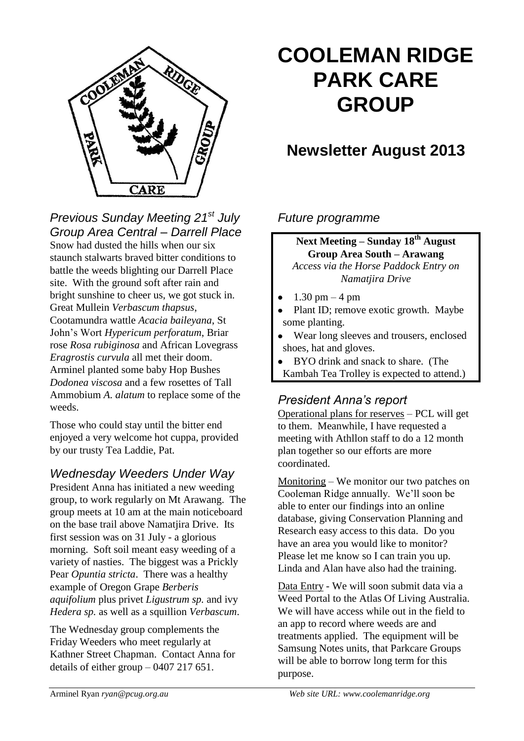

#### *Previous Sunday Meeting 21st July Group Area Central – Darrell Place* Snow had dusted the hills when our six staunch stalwarts braved bitter conditions to battle the weeds blighting our Darrell Place site. With the ground soft after rain and bright sunshine to cheer us, we got stuck in. Great Mullein *Verbascum thapsus*, Cootamundra wattle *Acacia baileyana*, St John's Wort *Hypericum perforatum*, Briar rose *Rosa rubiginosa* and African Lovegrass *Eragrostis curvula* all met their doom. Arminel planted some baby Hop Bushes *Dodonea viscosa* and a few rosettes of Tall Ammobium *A. alatum* to replace some of the weeds.

Those who could stay until the bitter end enjoyed a very welcome hot cuppa, provided by our trusty Tea Laddie, Pat.

### *Wednesday Weeders Under Way*

President Anna has initiated a new weeding group, to work regularly on Mt Arawang. The group meets at 10 am at the main noticeboard on the base trail above Namatjira Drive. Its first session was on 31 July - a glorious morning. Soft soil meant easy weeding of a variety of nasties. The biggest was a Prickly Pear *Opuntia stricta*. There was a healthy example of Oregon Grape *Berberis aquifolium* plus privet *Ligustrum sp.* and ivy *Hedera sp.* as well as a squillion *Verbascum*.

The Wednesday group complements the Friday Weeders who meet regularly at Kathner Street Chapman. Contact Anna for details of either group – 0407 217 651.

# **COOLEMAN RIDGE PARK CARE GROUP**

# **Newsletter August 2013**

#### *Future programme*

**Next Meeting – Sunday 18th August Group Area South – Arawang** *Access via the Horse Paddock Entry on Namatjira Drive*

- $1.30 \text{ pm} 4 \text{ pm}$
- Plant ID; remove exotic growth. Maybe some planting.
- Wear long sleeves and trousers, enclosed shoes, hat and gloves.
- BYO drink and snack to share. (The Kambah Tea Trolley is expected to attend.)

### *President Anna's report*

Operational plans for reserves – PCL will get to them. Meanwhile, I have requested a meeting with Athllon staff to do a 12 month plan together so our efforts are more coordinated.

Monitoring – We monitor our two patches on Cooleman Ridge annually. We'll soon be able to enter our findings into an online database, giving Conservation Planning and Research easy access to this data. Do you have an area you would like to monitor? Please let me know so I can train you up. Linda and Alan have also had the training.

Data Entry - We will soon submit data via a Weed Portal to the Atlas Of Living Australia. We will have access while out in the field to an app to record where weeds are and treatments applied. The equipment will be Samsung Notes units, that Parkcare Groups will be able to borrow long term for this purpose.